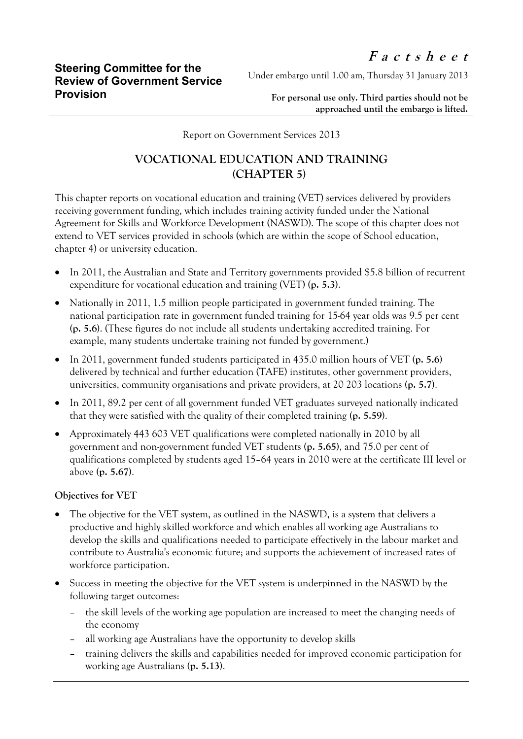Under embargo until 1.00 am, Thursday 31 January 2013

**For personal use only. Third parties should not be approached until the embargo is lifted.**

Report on Government Services 2013

## **VOCATIONAL EDUCATION AND TRAINING (CHAPTER 5)**

This chapter reports on vocational education and training (VET) services delivered by providers receiving government funding, which includes training activity funded under the National Agreement for Skills and Workforce Development (NASWD). The scope of this chapter does not extend to VET services provided in schools (which are within the scope of School education, chapter 4) or university education.

- In 2011, the Australian and State and Territory governments provided \$5.8 billion of recurrent expenditure for vocational education and training (VET) **(p. 5.3)**.
- Nationally in 2011, 1.5 million people participated in government funded training. The national participation rate in government funded training for 15-64 year olds was 9.5 per cent **(p. 5.6)**. (These figures do not include all students undertaking accredited training. For example, many students undertake training not funded by government.)
- In 2011, government funded students participated in 435.0 million hours of VET **(p. 5.6)**  delivered by technical and further education (TAFE) institutes, other government providers, universities, community organisations and private providers, at 20 203 locations **(p. 5.7)**.
- In 2011, 89.2 per cent of all government funded VET graduates surveyed nationally indicated that they were satisfied with the quality of their completed training **(p. 5.59)**.
- Approximately 443 603 VET qualifications were completed nationally in 2010 by all government and non-government funded VET students **(p. 5.65)**, and 75.0 per cent of qualifications completed by students aged 15–64 years in 2010 were at the certificate III level or above **(p. 5.67)**.

## **Objectives for VET**

- The objective for the VET system, as outlined in the NASWD, is a system that delivers a productive and highly skilled workforce and which enables all working age Australians to develop the skills and qualifications needed to participate effectively in the labour market and contribute to Australia's economic future; and supports the achievement of increased rates of workforce participation.
- Success in meeting the objective for the VET system is underpinned in the NASWD by the following target outcomes:
	- the skill levels of the working age population are increased to meet the changing needs of the economy
	- all working age Australians have the opportunity to develop skills
	- training delivers the skills and capabilities needed for improved economic participation for working age Australians **(p. 5.13)**.